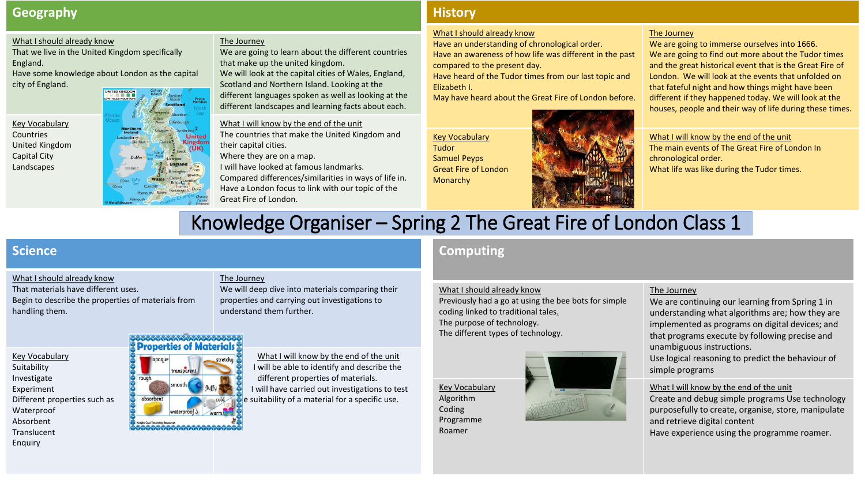# **Geography**

#### What I should already know

That we live in the United Kingdom specifically England.

Have some knowledge about London as the capital city of England.

Key Vocabulary United Kingdom

#### The Journey

We are going to learn about the different countries that make up the united kingdom. We will look at the capital cities of Wales, England, Scotland and Northern Island. Looking at the different languages spoken as well as looking at the different landscapes and learning facts about each.

What I will know by the end of the unit The countries that make the United Kingdom and their capital cities.

Where they are on a map.

I will have looked at famous landmarks.

Compared differences/similarities in ways of life in. Have a London focus to link with our topic of the Great Fire of London.

# **History**

#### What I should already know

Have an understanding of chronological order. Have an awareness of how life was different in the past compared to the present day.

Have heard of the Tudor times from our last topic and Elizabeth I.

May have heard about the Great Fire of London before.

Key Vocabulary Tudor Samuel Peyps Great Fire of London Monarchy



#### The Journey

We are going to immerse ourselves into 1666. We are going to find out more about the Tudor times and the great historical event that is the Great Fire of London. We will look at the events that unfolded on that fateful night and how things might have been different if they happened today. We will look at the houses, people and their way of life during these times.

What I will know by the end of the unit The main events of The Great Fire of London In chronological order. What life was like during the Tudor times.

# Knowledge Organiser – Spring 2 The Great Fire of London Class 1

# **Science**

Key Vocabulary Suitability Investigate Experiment

Waterproof Absorbent Translucent Enquiry

Countries

Capital City Landscapes

#### What I should already know

Different properties such as

That materials have different uses. Begin to describe the properties of materials from handling them.

#### The Journey

We will deep dive into materials comparing their properties and carrying out investigations to understand them further.

# **Properties of Materials**



What I will know by the end of the unit I will be able to identify and describe the different properties of materials. I will have carried out investigations to test  $\epsilon$  suitability of a material for a specific use.

# **Computing**

What I should already know

Previously had a go at using the bee bots for simple coding linked to traditional tales. The purpose of technology. The different types of technology.

Key Vocabulary Algorithm Coding Programme

Roamer



#### The Journey

We are continuing our learning from Spring 1 in understanding what algorithms are; how they are implemented as programs on digital devices; and that programs execute by following precise and unambiguous instructions.

Use logical reasoning to predict the behaviour of simple programs

What I will know by the end of the unit

Create and debug simple programs Use technology purposefully to create, organise, store, manipulate and retrieve digital content Have experience using the programme roamer.